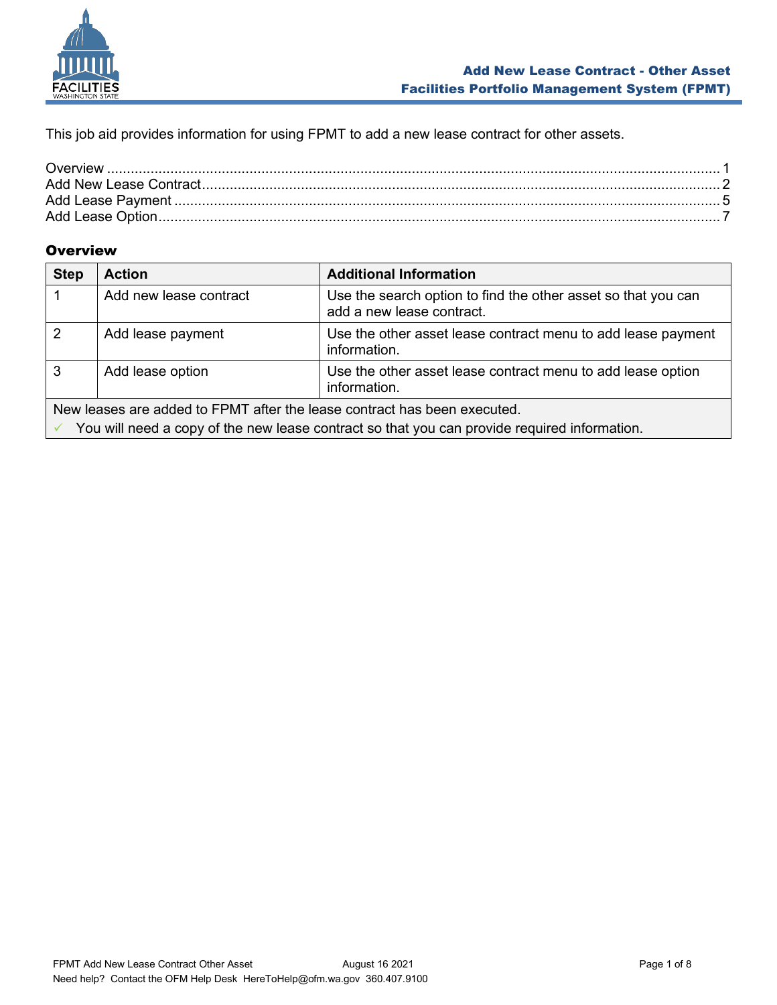

This job aid provides information for using FPMT to add a new lease contract for other assets.

## <span id="page-0-0"></span>**Overview**

| <b>Step</b>                                                                                  | <b>Action</b>          | <b>Additional Information</b>                                                              |
|----------------------------------------------------------------------------------------------|------------------------|--------------------------------------------------------------------------------------------|
|                                                                                              | Add new lease contract | Use the search option to find the other asset so that you can<br>add a new lease contract. |
| 2                                                                                            | Add lease payment      | Use the other asset lease contract menu to add lease payment<br>information.               |
| 3                                                                                            | Add lease option       | Use the other asset lease contract menu to add lease option<br>information.                |
| New leases are added to FPMT after the lease contract has been executed.                     |                        |                                                                                            |
| You will need a copy of the new lease contract so that you can provide required information. |                        |                                                                                            |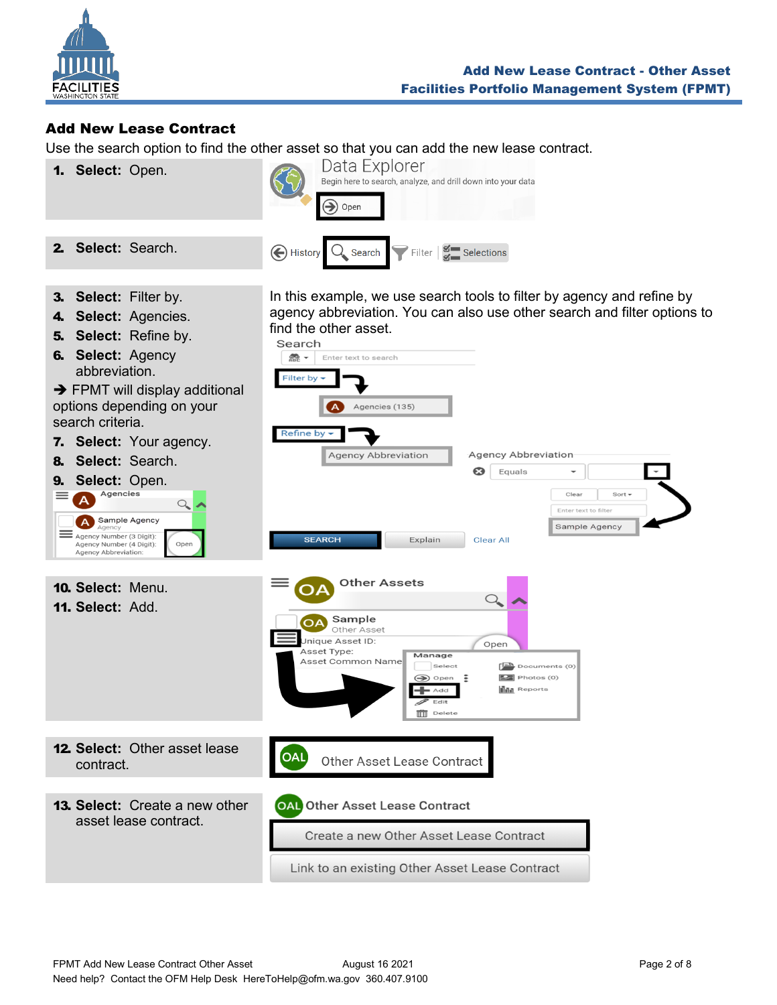

## <span id="page-1-0"></span>Add New Lease Contract

Use the search option to find the other asset so that you can add the new lease contract.

1. **Select:** Open.



3. **Select:** Filter by.

2. **Select:** Search.

- 4. **Select:** Agencies.
- 5. **Select:** Refine by.
- 6. **Select:** Agency abbreviation.

 $\rightarrow$  FPMT will display additional options depending on your search criteria.

7. **Select:** Your agency.

8. **Select:** Search. **9.** Select: Open.<br>  $\equiv$  A Agencies  $\mathcal{Q}_\bullet$ A Sample Agency

In this example, we use search tools to filter by agency and refine by agency abbreviation. You can also use other search and filter options to find the other asset. Search

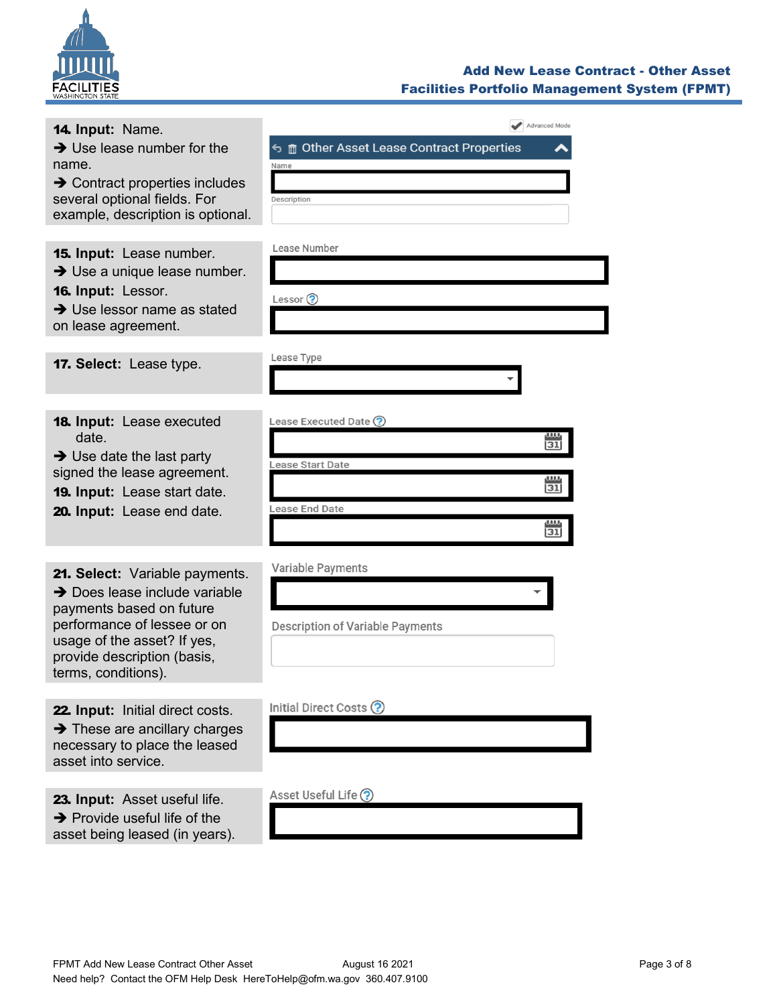

#### Add New Lease Contract - Other Asset Facilities Portfolio Management System (FPMT)

| 14. Input: Name.<br>$\rightarrow$ Use lease number for the<br>name.<br>$\rightarrow$ Contract properties includes<br>several optional fields. For<br>example, description is optional.                                      | Advanced Mode<br><b>う m</b> Other Asset Lease Contract Properties<br>Name<br>Description                                  |
|-----------------------------------------------------------------------------------------------------------------------------------------------------------------------------------------------------------------------------|---------------------------------------------------------------------------------------------------------------------------|
| <b>15. Input:</b> Lease number.<br>$\rightarrow$ Use a unique lease number.<br>16. Input: Lessor.<br>$\rightarrow$ Use lessor name as stated<br>on lease agreement.                                                         | Lease Number<br>Lessor $\odot$                                                                                            |
| 17. Select: Lease type.                                                                                                                                                                                                     | Lease Type                                                                                                                |
| <b>18. Input:</b> Lease executed<br>date.<br>$\rightarrow$ Use date the last party<br>signed the lease agreement.<br>19. Input: Lease start date.<br>20. Input: Lease end date.                                             | Lease Executed Date (?)<br>,,,,,<br>$\overline{31}$<br>Lease Start Date<br><b>LLLL</b><br>31<br>Lease End Date<br>ш<br>31 |
| 21. Select: Variable payments.<br>$\rightarrow$ Does lease include variable<br>payments based on future<br>performance of lessee or on<br>usage of the asset? If yes,<br>provide description (basis,<br>terms, conditions). | Variable Payments<br>Description of Variable Payments                                                                     |
| 22. Input: Initial direct costs.<br>$\rightarrow$ These are ancillary charges<br>necessary to place the leased<br>asset into service.                                                                                       | Initial Direct Costs ?                                                                                                    |
| 23. Input: Asset useful life.<br>$\rightarrow$ Provide useful life of the<br>asset being leased (in years).                                                                                                                 | Asset Useful Life (?)                                                                                                     |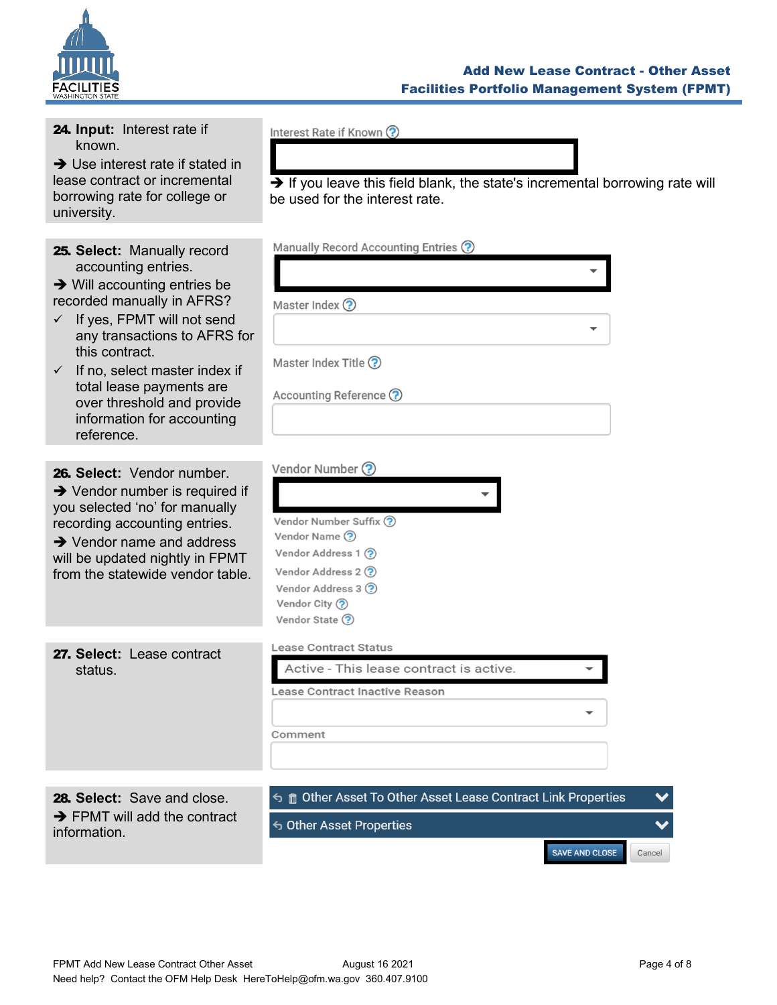

#### Add New Lease Contract - Other Asset Facilities Portfolio Management System (FPMT)

| 24. Input: Interest rate if<br>known.<br>$\rightarrow$ Use interest rate if stated in<br>lease contract or incremental<br>borrowing rate for college or<br>university.                                                                                                                                                                                                           | Interest Rate if Known ?<br>$\rightarrow$ If you leave this field blank, the state's incremental borrowing rate will<br>be used for the interest rate.            |
|----------------------------------------------------------------------------------------------------------------------------------------------------------------------------------------------------------------------------------------------------------------------------------------------------------------------------------------------------------------------------------|-------------------------------------------------------------------------------------------------------------------------------------------------------------------|
| 25. Select: Manually record<br>accounting entries.<br>$\rightarrow$ Will accounting entries be<br>recorded manually in AFRS?<br>If yes, FPMT will not send<br>$\checkmark$<br>any transactions to AFRS for<br>this contract.<br>$\checkmark$ If no, select master index if<br>total lease payments are<br>over threshold and provide<br>information for accounting<br>reference. | Manually Record Accounting Entries ?<br>Master Index ?<br>Master Index Title ?<br>Accounting Reference ?                                                          |
| 26. Select: Vendor number.<br>$\rightarrow$ Vendor number is required if<br>you selected 'no' for manually<br>recording accounting entries.<br>$\rightarrow$ Vendor name and address<br>will be updated nightly in FPMT<br>from the statewide vendor table.                                                                                                                      | Vendor Number ?<br>Vendor Number Suffix ?<br>Vendor Name (?)<br>Vendor Address 1 ?<br>Vendor Address 2 ?<br>Vendor Address 3 ?<br>Vendor City ?<br>Vendor State ? |
| 27. Select: Lease contract<br>status.                                                                                                                                                                                                                                                                                                                                            | <b>Lease Contract Status</b><br>Active - This lease contract is active.<br>Lease Contract Inactive Reason<br>Comment                                              |
| 28. Select: Save and close.<br>$\rightarrow$ FPMT will add the contract<br>information.                                                                                                                                                                                                                                                                                          | <b>う m Other Asset To Other Asset Lease Contract Link Properties</b><br>S Other Asset Properties<br>SAVE AND CLOSE<br>Cancel                                      |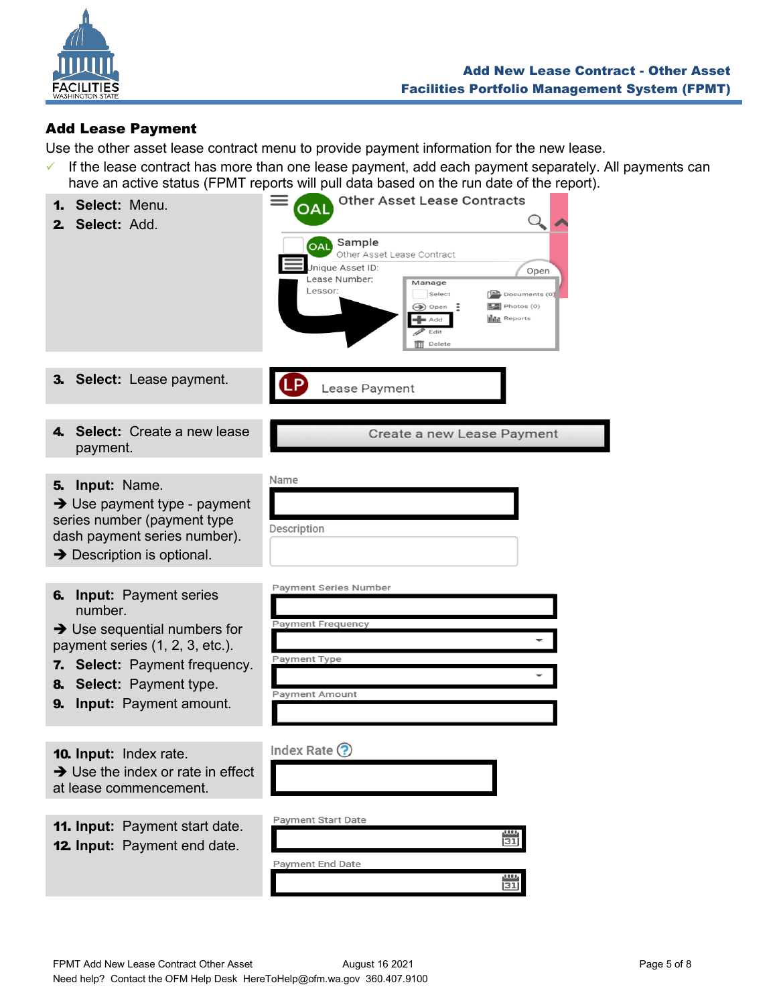

# <span id="page-4-0"></span>Add Lease Payment

Use the other asset lease contract menu to provide payment information for the new lease.

✓ If the lease contract has more than one lease payment, add each payment separately. All payments can have an active status (FPMT reports will pull data based on the run date of the report).

| Select: Menu.<br>Select: Add.<br>2.                                                                                                                                                                                                                  | <b>Other Asset Lease Contracts</b><br>ОA<br>Sample<br><b>OAL</b><br>Other Asset Lease Contract<br>Jnique Asset ID:<br>Open<br>Lease Number:<br>Manage<br>Lessor:<br>Select<br>$\left[\frac{B}{n}\right]$ Documents (0)<br>$\boxed{2}$ Photos (0)<br>$\bigcirc$ Open<br>E<br><b>III</b> Reports<br>Add<br>Edit<br><b>TTT</b> Delete |
|------------------------------------------------------------------------------------------------------------------------------------------------------------------------------------------------------------------------------------------------------|------------------------------------------------------------------------------------------------------------------------------------------------------------------------------------------------------------------------------------------------------------------------------------------------------------------------------------|
| 3. Select: Lease payment.                                                                                                                                                                                                                            | Lease Payment                                                                                                                                                                                                                                                                                                                      |
| 4. Select: Create a new lease<br>payment.                                                                                                                                                                                                            | Create a new Lease Payment                                                                                                                                                                                                                                                                                                         |
| Input: Name.<br>5.<br>$\rightarrow$ Use payment type - payment<br>series number (payment type<br>dash payment series number).<br>$\rightarrow$ Description is optional.                                                                              | Name<br>Description                                                                                                                                                                                                                                                                                                                |
| <b>Input: Payment series</b><br>6.<br>number.<br>$\rightarrow$ Use sequential numbers for<br>payment series (1, 2, 3, etc.).<br><b>Select: Payment frequency.</b><br>7.<br><b>Select:</b> Payment type.<br>8.<br><b>Input:</b> Payment amount.<br>9. | <b>Payment Series Number</b><br><b>Payment Frequency</b><br>Payment Type<br><b>Payment Amount</b>                                                                                                                                                                                                                                  |
| 10. Input: Index rate.<br>$\rightarrow$ Use the index or rate in effect<br>at lease commencement.                                                                                                                                                    | Index Rate $\odot$                                                                                                                                                                                                                                                                                                                 |
| <b>11. Input: Payment start date.</b><br><b>12. Input:</b> Payment end date.                                                                                                                                                                         | <b>Payment Start Date</b><br>$\frac{\text{mu}}{\text{31}}$<br>Payment End Date<br>31                                                                                                                                                                                                                                               |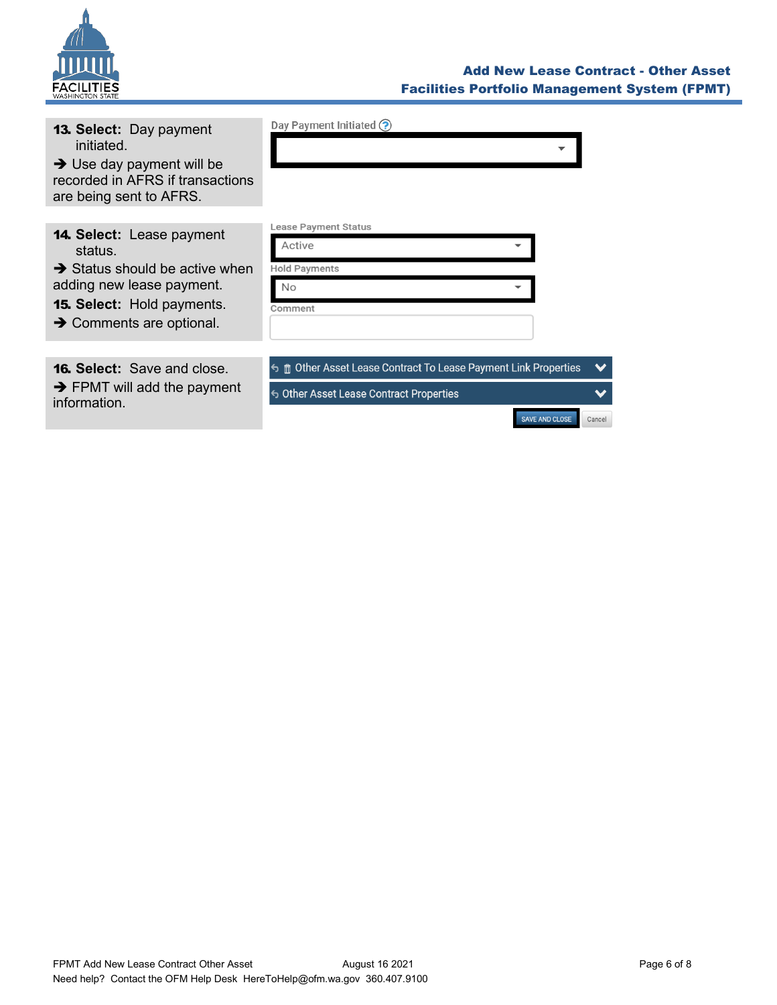

#### Add New Lease Contract - Other Asset Facilities Portfolio Management System (FPMT)

SAVE AND CLOSE

Cancel

| <b>13. Select: Day payment</b><br>initiated.<br>$\rightarrow$ Use day payment will be<br>recorded in AFRS if transactions<br>are being sent to AFRS.                                                | Day Payment Initiated (?)                                                                                         |              |
|-----------------------------------------------------------------------------------------------------------------------------------------------------------------------------------------------------|-------------------------------------------------------------------------------------------------------------------|--------------|
| <b>14. Select:</b> Lease payment<br>status.<br>$\rightarrow$ Status should be active when<br>adding new lease payment.<br><b>15. Select: Hold payments.</b><br>$\rightarrow$ Comments are optional. | Lease Payment Status<br>Active<br><b>Hold Payments</b><br>No<br>Comment                                           |              |
| <b>16. Select:</b> Save and close.<br>$\rightarrow$ FPMT will add the payment<br>information.                                                                                                       | <b>う m</b> Other Asset Lease Contract To Lease Payment Link Properties<br>← Other Asset Lease Contract Properties | $\checkmark$ |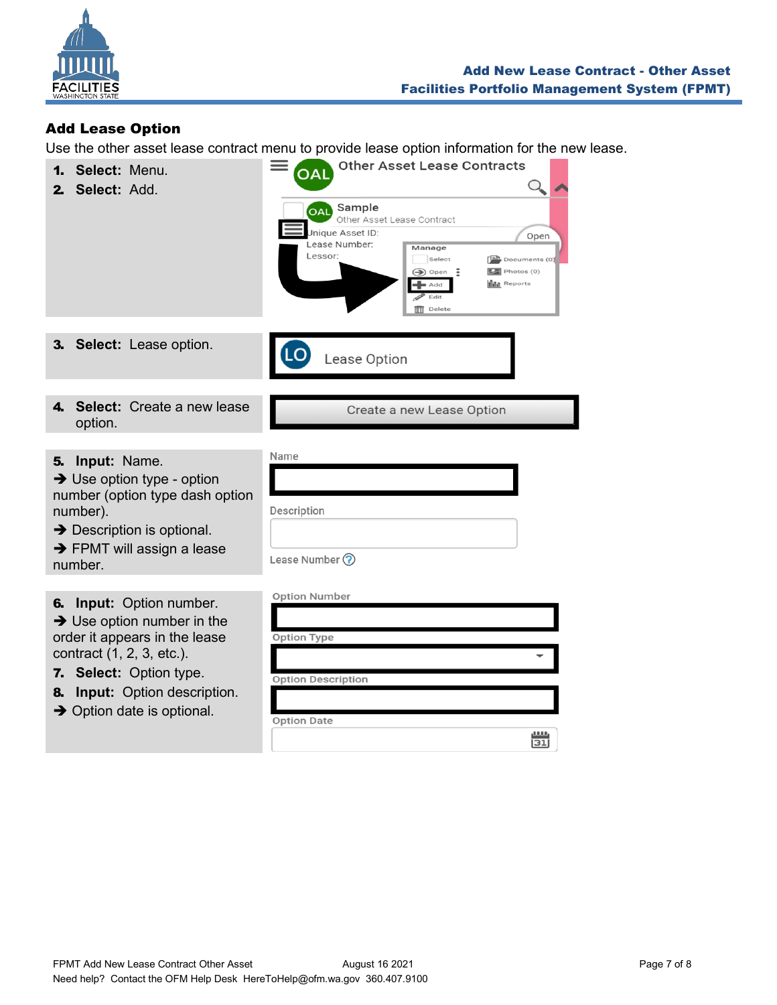

# <span id="page-6-0"></span>Add Lease Option

Use the other asset lease contract menu to provide lease option information for the new lease.

| Select: Menu.<br>1.<br>Select: Add.<br>2.                                                                                                                                                                                                                  | <b>Other Asset Lease Contracts</b><br>OAL<br>Sample<br><b>OAL</b><br>Other Asset Lease Contract<br>Jnique Asset ID:<br>Open<br>Lease Number:<br>Manage<br>Lessor:<br>Select<br>$\left[\frac{m}{n}\right]$ Documents (0)<br>$\circledcirc$ Open<br>÷<br>$\boxed{2}$ Photos (0)<br><b>In Reports</b><br>Add<br>Edit<br><b>TTT</b> Delete |
|------------------------------------------------------------------------------------------------------------------------------------------------------------------------------------------------------------------------------------------------------------|----------------------------------------------------------------------------------------------------------------------------------------------------------------------------------------------------------------------------------------------------------------------------------------------------------------------------------------|
| 3. Select: Lease option.                                                                                                                                                                                                                                   | Lease Option                                                                                                                                                                                                                                                                                                                           |
| 4. Select: Create a new lease<br>option.                                                                                                                                                                                                                   | Create a new Lease Option                                                                                                                                                                                                                                                                                                              |
| 5. Input: Name.<br>$\rightarrow$ Use option type - option<br>number (option type dash option<br>number).<br>$\rightarrow$ Description is optional.<br>$\rightarrow$ FPMT will assign a lease<br>number.                                                    | Name<br>Description<br>Lease Number ?                                                                                                                                                                                                                                                                                                  |
| <b>Input:</b> Option number.<br>6.<br>$\rightarrow$ Use option number in the<br>order it appears in the lease<br>contract (1, 2, 3, etc.).<br>7. Select: Option type.<br><b>Input:</b> Option description.<br>8.<br>$\rightarrow$ Option date is optional. | <b>Option Number</b><br>Option Type<br><b>Option Description</b><br><b>Option Date</b><br>0.005<br>īзī                                                                                                                                                                                                                                 |